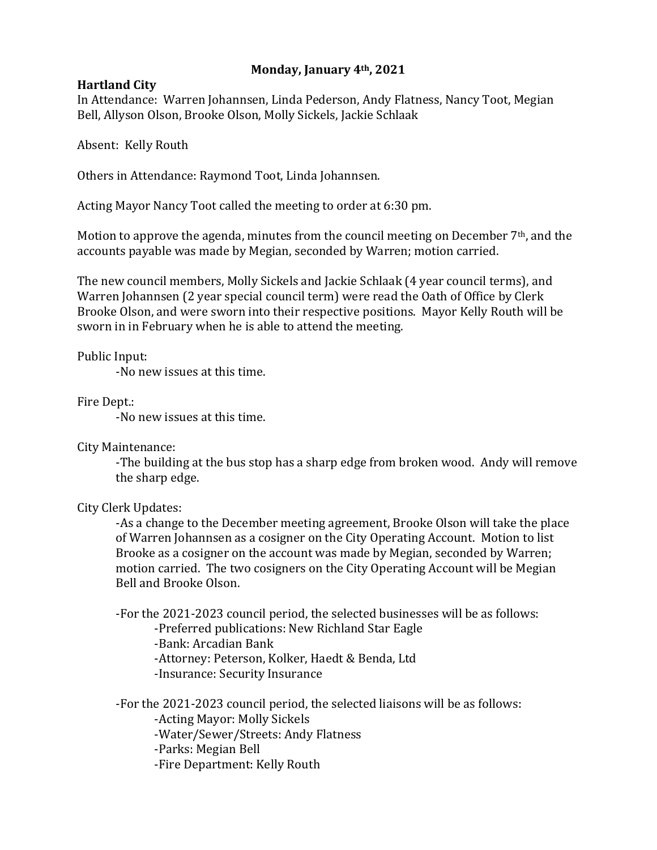## **Monday, January 4th, 2021**

## **Hartland City**

In Attendance: Warren Johannsen, Linda Pederson, Andy Flatness, Nancy Toot, Megian Bell, Allyson Olson, Brooke Olson, Molly Sickels, Jackie Schlaak

Absent: Kelly Routh

Others in Attendance: Raymond Toot, Linda Johannsen.

Acting Mayor Nancy Toot called the meeting to order at 6:30 pm.

Motion to approve the agenda, minutes from the council meeting on December 7<sup>th</sup>, and the accounts payable was made by Megian, seconded by Warren; motion carried.

The new council members, Molly Sickels and Jackie Schlaak (4 year council terms), and Warren Johannsen (2 year special council term) were read the Oath of Office by Clerk Brooke Olson, and were sworn into their respective positions. Mayor Kelly Routh will be sworn in in February when he is able to attend the meeting.

Public Input:

-No new issues at this time.

Fire Dept.:

-No new issues at this time.

City Maintenance:

-The building at the bus stop has a sharp edge from broken wood. Andy will remove the sharp edge.

City Clerk Updates:

-As a change to the December meeting agreement, Brooke Olson will take the place of Warren Johannsen as a cosigner on the City Operating Account. Motion to list Brooke as a cosigner on the account was made by Megian, seconded by Warren; motion carried. The two cosigners on the City Operating Account will be Megian Bell and Brooke Olson.

-For the 2021-2023 council period, the selected businesses will be as follows:

-Preferred publications: New Richland Star Eagle

-Bank: Arcadian Bank

-Attorney: Peterson, Kolker, Haedt & Benda, Ltd

-Insurance: Security Insurance

-For the 2021-2023 council period, the selected liaisons will be as follows: -Acting Mayor: Molly Sickels -Water/Sewer/Streets: Andy Flatness -Parks: Megian Bell -Fire Department: Kelly Routh